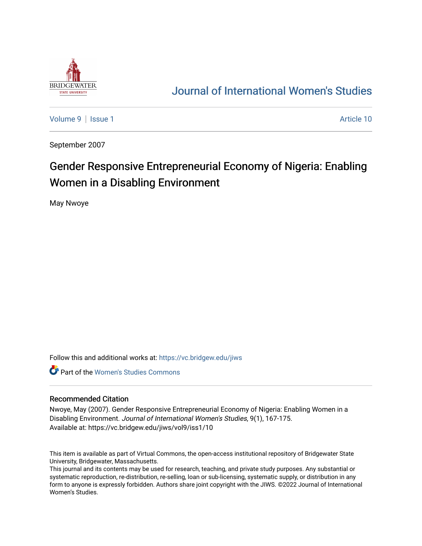

# [Journal of International Women's Studies](https://vc.bridgew.edu/jiws)

[Volume 9](https://vc.bridgew.edu/jiws/vol9) | [Issue 1](https://vc.bridgew.edu/jiws/vol9/iss1) Article 10

September 2007

# Gender Responsive Entrepreneurial Economy of Nigeria: Enabling Women in a Disabling Environment

May Nwoye

Follow this and additional works at: [https://vc.bridgew.edu/jiws](https://vc.bridgew.edu/jiws?utm_source=vc.bridgew.edu%2Fjiws%2Fvol9%2Fiss1%2F10&utm_medium=PDF&utm_campaign=PDFCoverPages)

**C** Part of the Women's Studies Commons

#### Recommended Citation

Nwoye, May (2007). Gender Responsive Entrepreneurial Economy of Nigeria: Enabling Women in a Disabling Environment. Journal of International Women's Studies, 9(1), 167-175. Available at: https://vc.bridgew.edu/jiws/vol9/iss1/10

This item is available as part of Virtual Commons, the open-access institutional repository of Bridgewater State University, Bridgewater, Massachusetts.

This journal and its contents may be used for research, teaching, and private study purposes. Any substantial or systematic reproduction, re-distribution, re-selling, loan or sub-licensing, systematic supply, or distribution in any form to anyone is expressly forbidden. Authors share joint copyright with the JIWS. ©2022 Journal of International Women's Studies.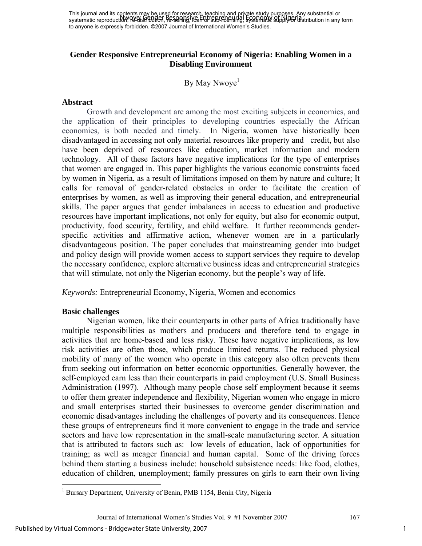This journal and its contents may be used for research, teaching and private study purposes. Any substantial or This journal and its exhibition of Distribution, research change and processed burger religionships and its constantial or to anyone is expressly forbidden. ©2007 Journal of International Women's Studies.

### **Gender Responsive Entrepreneurial Economy of Nigeria: Enabling Women in a Disabling Environment**

By May Nwoye<sup>1</sup>

#### **Abstract**

Growth and development are among the most exciting subjects in economics, and the application of their principles to developing countries especially the African economies, is both needed and timely. In Nigeria, women have historically been disadvantaged in accessing not only material resources like property and credit, but also have been deprived of resources like education, market information and modern technology. All of these factors have negative implications for the type of enterprises that women are engaged in. This paper highlights the various economic constraints faced by women in Nigeria, as a result of limitations imposed on them by nature and culture; It calls for removal of gender-related obstacles in order to facilitate the creation of enterprises by women, as well as improving their general education, and entrepreneurial skills. The paper argues that gender imbalances in access to education and productive resources have important implications, not only for equity, but also for economic output, productivity, food security, fertility, and child welfare. It further recommends genderspecific activities and affirmative action, whenever women are in a particularly disadvantageous position. The paper concludes that mainstreaming gender into budget and policy design will provide women access to support services they require to develop the necessary confidence, explore alternative business ideas and entrepreneurial strategies that will stimulate, not only the Nigerian economy, but the people's way of life.

*Keywords:* Entrepreneurial Economy, Nigeria, Women and economics

#### **Basic challenges**

 Nigerian women, like their counterparts in other parts of Africa traditionally have multiple responsibilities as mothers and producers and therefore tend to engage in activities that are home-based and less risky. These have negative implications, as low risk activities are often those, which produce limited returns. The reduced physical mobility of many of the women who operate in this category also often prevents them from seeking out information on better economic opportunities. Generally however, the self-employed earn less than their counterparts in paid employment (U.S. Small Business Administration (1997). Although many people chose self employment because it seems to offer them greater independence and flexibility, Nigerian women who engage in micro and small enterprises started their businesses to overcome gender discrimination and economic disadvantages including the challenges of poverty and its consequences. Hence these groups of entrepreneurs find it more convenient to engage in the trade and service sectors and have low representation in the small-scale manufacturing sector. A situation that is attributed to factors such as: low levels of education, lack of opportunities for training; as well as meager financial and human capital. Some of the driving forces behind them starting a business include: household subsistence needs: like food, clothes, education of children, unemployment; family pressures on girls to earn their own living

Journal of International Women's Studies Vol. 9 #1 November 2007 167

 $\overline{a}$ 

<sup>&</sup>lt;sup>1</sup> Bursary Department, University of Benin, PMB 1154, Benin City, Nigeria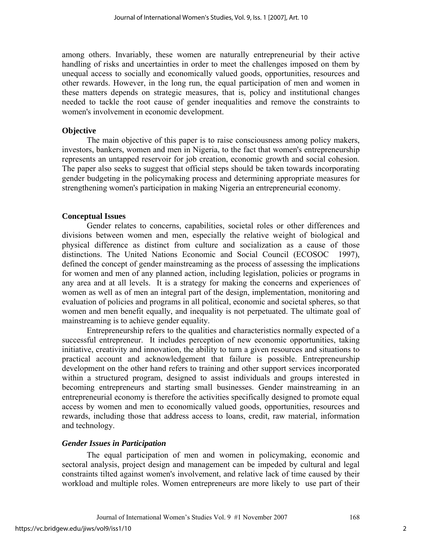among others. Invariably, these women are naturally entrepreneurial by their active handling of risks and uncertainties in order to meet the challenges imposed on them by unequal access to socially and economically valued goods, opportunities, resources and other rewards. However, in the long run, the equal participation of men and women in these matters depends on strategic measures, that is, policy and institutional changes needed to tackle the root cause of gender inequalities and remove the constraints to women's involvement in economic development.

### **Objective**

The main objective of this paper is to raise consciousness among policy makers, investors, bankers, women and men in Nigeria, to the fact that women's entrepreneurship represents an untapped reservoir for job creation, economic growth and social cohesion. The paper also seeks to suggest that official steps should be taken towards incorporating gender budgeting in the policymaking process and determining appropriate measures for strengthening women's participation in making Nigeria an entrepreneurial economy.

# **Conceptual Issues**

Gender relates to concerns, capabilities, societal roles or other differences and divisions between women and men, especially the relative weight of biological and physical difference as distinct from culture and socialization as a cause of those distinctions. The United Nations Economic and Social Council (ECOSOC 1997), defined the concept of gender mainstreaming as the process of assessing the implications for women and men of any planned action, including legislation, policies or programs in any area and at all levels. It is a strategy for making the concerns and experiences of women as well as of men an integral part of the design, implementation, monitoring and evaluation of policies and programs in all political, economic and societal spheres, so that women and men benefit equally, and inequality is not perpetuated. The ultimate goal of mainstreaming is to achieve gender equality.

Entrepreneurship refers to the qualities and characteristics normally expected of a successful entrepreneur. It includes perception of new economic opportunities, taking initiative, creativity and innovation, the ability to turn a given resources and situations to practical account and acknowledgement that failure is possible. Entrepreneurship development on the other hand refers to training and other support services incorporated within a structured program, designed to assist individuals and groups interested in becoming entrepreneurs and starting small businesses. Gender mainstreaming in an entrepreneurial economy is therefore the activities specifically designed to promote equal access by women and men to economically valued goods, opportunities, resources and rewards, including those that address access to loans, credit, raw material, information and technology.

# *Gender Issues in Participation*

The equal participation of men and women in policymaking, economic and sectoral analysis, project design and management can be impeded by cultural and legal constraints tilted against women's involvement, and relative lack of time caused by their workload and multiple roles. Women entrepreneurs are more likely to use part of their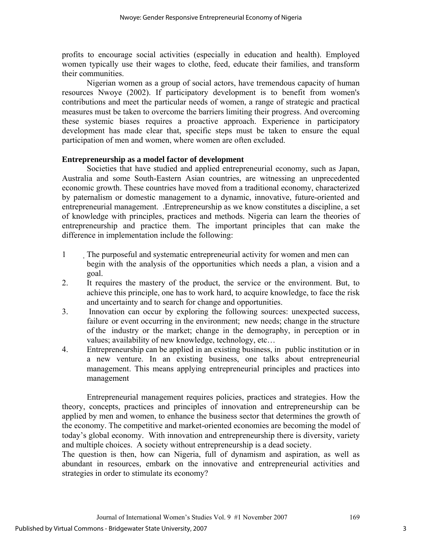profits to encourage social activities (especially in education and health). Employed women typically use their wages to clothe, feed, educate their families, and transform their communities.

Nigerian women as a group of social actors, have tremendous capacity of human resources Nwoye (2002). If participatory development is to benefit from women's contributions and meet the particular needs of women, a range of strategic and practical measures must be taken to overcome the barriers limiting their progress. And overcoming these systemic biases requires a proactive approach. Experience in participatory development has made clear that, specific steps must be taken to ensure the equal participation of men and women, where women are often excluded.

## **Entrepreneurship as a model factor of development**

Societies that have studied and applied entrepreneurial economy, such as Japan, Australia and some South-Eastern Asian countries, are witnessing an unprecedented economic growth. These countries have moved from a traditional economy, characterized by paternalism or domestic management to a dynamic, innovative, future-oriented and entrepreneurial management. .Entrepreneurship as we know constitutes a discipline, a set of knowledge with principles, practices and methods. Nigeria can learn the theories of entrepreneurship and practice them. The important principles that can make the difference in implementation include the following:

- 1 The purposeful and systematic entrepreneurial activity for women and men can begin with the analysis of the opportunities which needs a plan, a vision and a goal.
- 2. It requires the mastery of the product, the service or the environment. But, to achieve this principle, one has to work hard, to acquire knowledge, to face the risk and uncertainty and to search for change and opportunities.
- 3. Innovation can occur by exploring the following sources: unexpected success, failure or event occurring in the environment; new needs; change in the structure of the industry or the market; change in the demography, in perception or in values; availability of new knowledge, technology, etc…
- 4. Entrepreneurship can be applied in an existing business, in public institution or in a new venture. In an existing business, one talks about entrepreneurial management. This means applying entrepreneurial principles and practices into management

Entrepreneurial management requires policies, practices and strategies. How the theory, concepts, practices and principles of innovation and entrepreneurship can be applied by men and women, to enhance the business sector that determines the growth of the economy. The competitive and market-oriented economies are becoming the model of today's global economy. With innovation and entrepreneurship there is diversity, variety and multiple choices. A society without entrepreneurship is a dead society.

The question is then, how can Nigeria, full of dynamism and aspiration, as well as abundant in resources, embark on the innovative and entrepreneurial activities and strategies in order to stimulate its economy?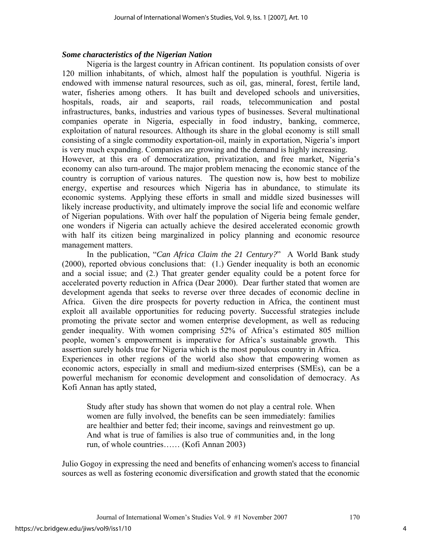## *Some characteristics of the Nigerian Nation*

Nigeria is the largest country in African continent. Its population consists of over 120 million inhabitants, of which, almost half the population is youthful. Nigeria is endowed with immense natural resources, such as oil, gas, mineral, forest, fertile land, water, fisheries among others. It has built and developed schools and universities, hospitals, roads, air and seaports, rail roads, telecommunication and postal infrastructures, banks, industries and various types of businesses. Several multinational companies operate in Nigeria, especially in food industry, banking, commerce, exploitation of natural resources. Although its share in the global economy is still small consisting of a single commodity exportation-oil, mainly in exportation, Nigeria's import is very much expanding. Companies are growing and the demand is highly increasing.

However, at this era of democratization, privatization, and free market, Nigeria's economy can also turn-around. The major problem menacing the economic stance of the country is corruption of various natures. The question now is, how best to mobilize energy, expertise and resources which Nigeria has in abundance, to stimulate its economic systems. Applying these efforts in small and middle sized businesses will likely increase productivity, and ultimately improve the social life and economic welfare of Nigerian populations. With over half the population of Nigeria being female gender, one wonders if Nigeria can actually achieve the desired accelerated economic growth with half its citizen being marginalized in policy planning and economic resource management matters.

In the publication, "*Can Africa Claim the 21 Century?*" A World Bank study (2000), reported obvious conclusions that: (1.) Gender inequality is both an economic and a social issue; and (2.) That greater gender equality could be a potent force for accelerated poverty reduction in Africa (Dear 2000). Dear further stated that women are development agenda that seeks to reverse over three decades of economic decline in Africa. Given the dire prospects for poverty reduction in Africa, the continent must exploit all available opportunities for reducing poverty. Successful strategies include promoting the private sector and women enterprise development, as well as reducing gender inequality. With women comprising 52% of Africa's estimated 805 million people, women's empowerment is imperative for Africa's sustainable growth. This assertion surely holds true for Nigeria which is the most populous country in Africa.

Experiences in other regions of the world also show that empowering women as economic actors, especially in small and medium-sized enterprises (SMEs), can be a powerful mechanism for economic development and consolidation of democracy. As Kofi Annan has aptly stated,

Study after study has shown that women do not play a central role. When women are fully involved, the benefits can be seen immediately: families are healthier and better fed; their income, savings and reinvestment go up. And what is true of families is also true of communities and, in the long run, of whole countries…… (Kofi Annan 2003)

Julio Gogoy in expressing the need and benefits of enhancing women's access to financial sources as well as fostering economic diversification and growth stated that the economic

Journal of International Women's Studies Vol. 9 #1 November 2007 170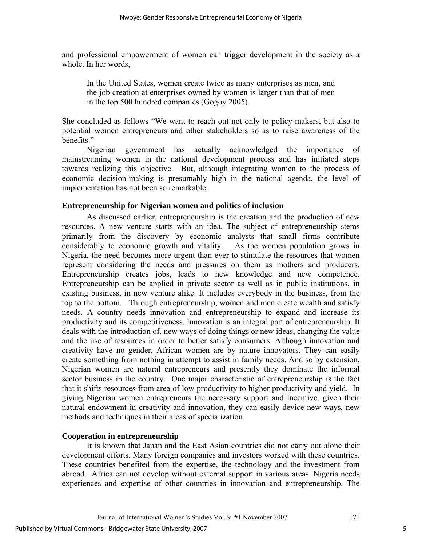and professional empowerment of women can trigger development in the society as a whole. In her words,

In the United States, women create twice as many enterprises as men, and the job creation at enterprises owned by women is larger than that of men in the top 500 hundred companies (Gogoy 2005).

She concluded as follows "We want to reach out not only to policy-makers, but also to potential women entrepreneurs and other stakeholders so as to raise awareness of the benefits."

Nigerian government has actually acknowledged the importance of mainstreaming women in the national development process and has initiated steps towards realizing this objective. But, although integrating women to the process of economic decision-making is presumably high in the national agenda, the level of implementation has not been so remarkable.

### **Entrepreneurship for Nigerian women and politics of inclusion**

As discussed earlier, entrepreneurship is the creation and the production of new resources. A new venture starts with an idea. The subject of entrepreneurship stems primarily from the discovery by economic analysts that small firms contribute considerably to economic growth and vitality. As the women population grows in Nigeria, the need becomes more urgent than ever to stimulate the resources that women represent considering the needs and pressures on them as mothers and producers. Entrepreneurship creates jobs, leads to new knowledge and new competence. Entrepreneurship can be applied in private sector as well as in public institutions, in existing business, in new venture alike. It includes everybody in the business, from the top to the bottom. Through entrepreneurship, women and men create wealth and satisfy needs. A country needs innovation and entrepreneurship to expand and increase its productivity and its competitiveness. Innovation is an integral part of entrepreneurship. It deals with the introduction of, new ways of doing things or new ideas, changing the value and the use of resources in order to better satisfy consumers. Although innovation and creativity have no gender, African women are by nature innovators. They can easily create something from nothing in attempt to assist in family needs. And so by extension, Nigerian women are natural entrepreneurs and presently they dominate the informal sector business in the country. One major characteristic of entrepreneurship is the fact that it shifts resources from area of low productivity to higher productivity and yield. In giving Nigerian women entrepreneurs the necessary support and incentive, given their natural endowment in creativity and innovation, they can easily device new ways, new methods and techniques in their areas of specialization.

### **Cooperation in entrepreneurship**

It is known that Japan and the East Asian countries did not carry out alone their development efforts. Many foreign companies and investors worked with these countries. These countries benefited from the expertise, the technology and the investment from abroad. Africa can not develop without external support in various areas. Nigeria needs experiences and expertise of other countries in innovation and entrepreneurship. The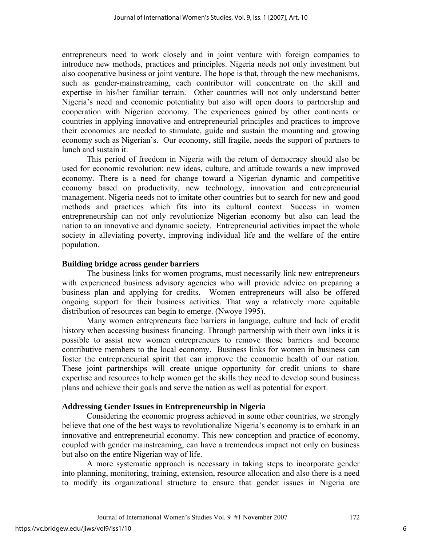entrepreneurs need to work closely and in joint venture with foreign companies to introduce new methods, practices and principles. Nigeria needs not only investment but also cooperative business or joint venture. The hope is that, through the new mechanisms, such as gender-mainstreaming, each contributor will concentrate on the skill and expertise in his/her familiar terrain. Other countries will not only understand better Nigeria's need and economic potentiality but also will open doors to partnership and cooperation with Nigerian economy. The experiences gained by other continents or countries in applying innovative and entrepreneurial principles and practices to improve their economies are needed to stimulate, guide and sustain the mounting and growing economy such as Nigerian's. Our economy, still fragile, needs the support of partners to lunch and sustain it.

 This period of freedom in Nigeria with the return of democracy should also be used for economic revolution: new ideas, culture, and attitude towards a new improved economy. There is a need for change toward a Nigerian dynamic and competitive economy based on productivity, new technology, innovation and entrepreneurial management. Nigeria needs not to imitate other countries but to search for new and good methods and practices which fits into its cultural context. Success in women entrepreneurship can not only revolutionize Nigerian economy but also can lead the nation to an innovative and dynamic society. Entrepreneurial activities impact the whole society in alleviating poverty, improving individual life and the welfare of the entire population.

### **Building bridge across gender barriers**

The business links for women programs, must necessarily link new entrepreneurs with experienced business advisory agencies who will provide advice on preparing a business plan and applying for credits. Women entrepreneurs will also be offered ongoing support for their business activities. That way a relatively more equitable distribution of resources can begin to emerge. (Nwoye 1995).

Many women entrepreneurs face barriers in language, culture and lack of credit history when accessing business financing. Through partnership with their own links it is possible to assist new women entrepreneurs to remove those barriers and become contributive members to the local economy. Business links for women in business can foster the entrepreneurial spirit that can improve the economic health of our nation. These joint partnerships will create unique opportunity for credit unions to share expertise and resources to help women get the skills they need to develop sound business plans and achieve their goals and serve the nation as well as potential for export.

### **Addressing Gender Issues in Entrepreneurship in Nigeria**

Considering the economic progress achieved in some other countries, we strongly believe that one of the best ways to revolutionalize Nigeria's economy is to embark in an innovative and entrepreneurial economy. This new conception and practice of economy, coupled with gender mainstreaming, can have a tremendous impact not only on business but also on the entire Nigerian way of life.

A more systematic approach is necessary in taking steps to incorporate gender into planning, monitoring, training, extension, resource allocation and also there is a need to modify its organizational structure to ensure that gender issues in Nigeria are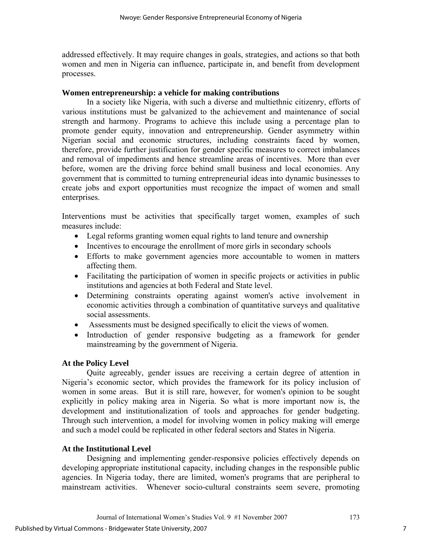addressed effectively. It may require changes in goals, strategies, and actions so that both women and men in Nigeria can influence, participate in, and benefit from development processes.

### **Women entrepreneurship: a vehicle for making contributions**

In a society like Nigeria, with such a diverse and multiethnic citizenry, efforts of various institutions must be galvanized to the achievement and maintenance of social strength and harmony. Programs to achieve this include using a percentage plan to promote gender equity, innovation and entrepreneurship. Gender asymmetry within Nigerian social and economic structures, including constraints faced by women, therefore, provide further justification for gender specific measures to correct imbalances and removal of impediments and hence streamline areas of incentives. More than ever before, women are the driving force behind small business and local economies. Any government that is committed to turning entrepreneurial ideas into dynamic businesses to create jobs and export opportunities must recognize the impact of women and small enterprises.

Interventions must be activities that specifically target women, examples of such measures include:

- Legal reforms granting women equal rights to land tenure and ownership
- Incentives to encourage the enrollment of more girls in secondary schools
- Efforts to make government agencies more accountable to women in matters affecting them.
- Facilitating the participation of women in specific projects or activities in public institutions and agencies at both Federal and State level.
- Determining constraints operating against women's active involvement in economic activities through a combination of quantitative surveys and qualitative social assessments.
- Assessments must be designed specifically to elicit the views of women.
- Introduction of gender responsive budgeting as a framework for gender mainstreaming by the government of Nigeria.

# **At the Policy Level**

Quite agreeably, gender issues are receiving a certain degree of attention in Nigeria's economic sector, which provides the framework for its policy inclusion of women in some areas. But it is still rare, however, for women's opinion to be sought explicitly in policy making area in Nigeria. So what is more important now is, the development and institutionalization of tools and approaches for gender budgeting. Through such intervention, a model for involving women in policy making will emerge and such a model could be replicated in other federal sectors and States in Nigeria.

# **At the Institutional Level**

Designing and implementing gender-responsive policies effectively depends on developing appropriate institutional capacity, including changes in the responsible public agencies. In Nigeria today, there are limited, women's programs that are peripheral to mainstream activities. Whenever socio-cultural constraints seem severe, promoting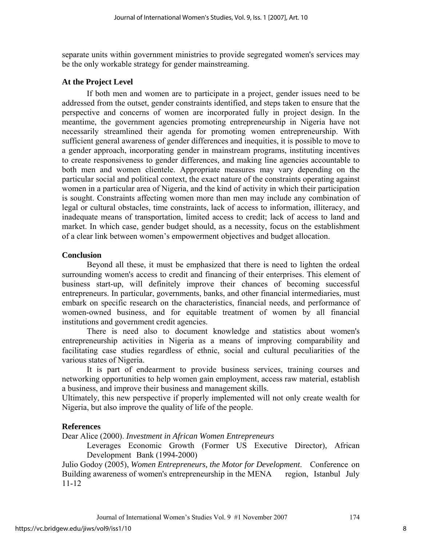separate units within government ministries to provide segregated women's services may be the only workable strategy for gender mainstreaming.

#### **At the Project Level**

If both men and women are to participate in a project, gender issues need to be addressed from the outset, gender constraints identified, and steps taken to ensure that the perspective and concerns of women are incorporated fully in project design. In the meantime, the government agencies promoting entrepreneurship in Nigeria have not necessarily streamlined their agenda for promoting women entrepreneurship. With sufficient general awareness of gender differences and inequities, it is possible to move to a gender approach, incorporating gender in mainstream programs, instituting incentives to create responsiveness to gender differences, and making line agencies accountable to both men and women clientele. Appropriate measures may vary depending on the particular social and political context, the exact nature of the constraints operating against women in a particular area of Nigeria, and the kind of activity in which their participation is sought. Constraints affecting women more than men may include any combination of legal or cultural obstacles, time constraints, lack of access to information, illiteracy, and inadequate means of transportation, limited access to credit; lack of access to land and market. In which case, gender budget should, as a necessity, focus on the establishment of a clear link between women's empowerment objectives and budget allocation.

#### **Conclusion**

Beyond all these, it must be emphasized that there is need to lighten the ordeal surrounding women's access to credit and financing of their enterprises. This element of business start-up, will definitely improve their chances of becoming successful entrepreneurs. In particular, governments, banks, and other financial intermediaries, must embark on specific research on the characteristics, financial needs, and performance of women-owned business, and for equitable treatment of women by all financial institutions and government credit agencies.

There is need also to document knowledge and statistics about women's entrepreneurship activities in Nigeria as a means of improving comparability and facilitating case studies regardless of ethnic, social and cultural peculiarities of the various states of Nigeria.

It is part of endearment to provide business services, training courses and networking opportunities to help women gain employment, access raw material, establish a business, and improve their business and management skills.

Ultimately, this new perspective if properly implemented will not only create wealth for Nigeria, but also improve the quality of life of the people.

### **References**

Dear Alice (2000). *Investment in African Women Entrepreneurs* 

 Leverages Economic Growth (Former US Executive Director), African Development Bank (1994-2000)

Julio Godoy (2005), *Women Entrepreneurs, the Motor for Development*. Conference on Building awareness of women's entrepreneurship in the MENA region, Istanbul July 11-12

Journal of International Women's Studies Vol. 9 #1 November 2007 174